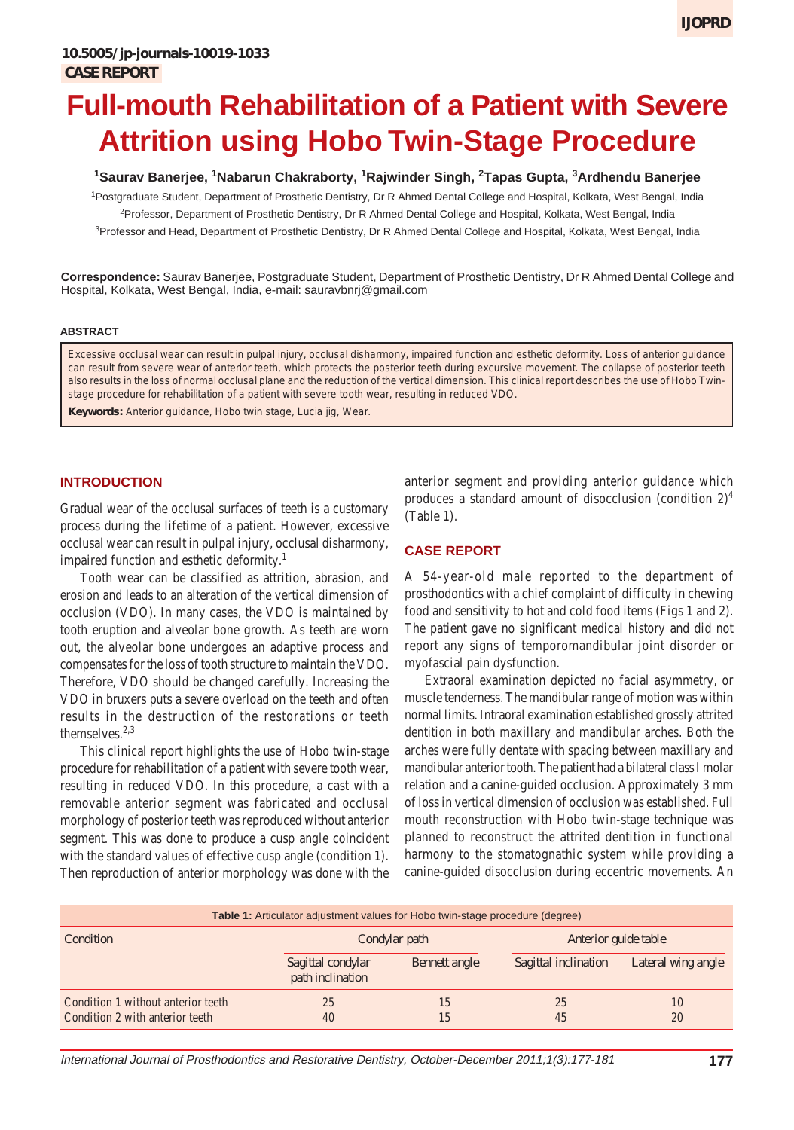# **Full-mouth Rehabilitation of a Patient with Severe Attrition using Hobo Twin-Stage Procedure**

# **1 Saurav Banerjee, <sup>1</sup> Nabarun Chakraborty, <sup>1</sup> Rajwinder Singh, <sup>2</sup> Tapas Gupta, <sup>3</sup> Ardhendu Banerjee**

<sup>1</sup>Postgraduate Student, Department of Prosthetic Dentistry, Dr R Ahmed Dental College and Hospital, Kolkata, West Bengal, India <sup>2</sup>Professor, Department of Prosthetic Dentistry, Dr R Ahmed Dental College and Hospital, Kolkata, West Bengal, India <sup>3</sup>Professor and Head, Department of Prosthetic Dentistry, Dr R Ahmed Dental College and Hospital, Kolkata, West Bengal, India

**Correspondence:** Saurav Banerjee, Postgraduate Student, Department of Prosthetic Dentistry, Dr R Ahmed Dental College and Hospital, Kolkata, West Bengal, India, e-mail: sauravbnrj@gmail.com

#### **ABSTRACT**

Excessive occlusal wear can result in pulpal injury, occlusal disharmony, impaired function and esthetic deformity. Loss of anterior guidance can result from severe wear of anterior teeth, which protects the posterior teeth during excursive movement. The collapse of posterior teeth also results in the loss of normal occlusal plane and the reduction of the vertical dimension. This clinical report describes the use of Hobo Twinstage procedure for rehabilitation of a patient with severe tooth wear, resulting in reduced VDO.

**Keywords:** Anterior guidance, Hobo twin stage, Lucia jig, Wear.

## **INTRODUCTION**

Gradual wear of the occlusal surfaces of teeth is a customary process during the lifetime of a patient. However, excessive occlusal wear can result in pulpal injury, occlusal disharmony, impaired function and esthetic deformity.<sup>1</sup>

Tooth wear can be classified as attrition, abrasion, and erosion and leads to an alteration of the vertical dimension of occlusion (VDO). In many cases, the VDO is maintained by tooth eruption and alveolar bone growth. As teeth are worn out, the alveolar bone undergoes an adaptive process and compensates for the loss of tooth structure to maintain the VDO. Therefore, VDO should be changed carefully. Increasing the VDO in bruxers puts a severe overload on the teeth and often results in the destruction of the restorations or teeth themselves.<sup>2,3</sup>

This clinical report highlights the use of Hobo twin-stage procedure for rehabilitation of a patient with severe tooth wear, resulting in reduced VDO. In this procedure, a cast with a removable anterior segment was fabricated and occlusal morphology of posterior teeth was reproduced without anterior segment. This was done to produce a cusp angle coincident with the standard values of effective cusp angle (condition 1). Then reproduction of anterior morphology was done with the

anterior segment and providing anterior guidance which produces a standard amount of disocclusion (condition  $2)^4$ (Table 1).

### **CASE REPORT**

A 54-year-old male reported to the department of prosthodontics with a chief complaint of difficulty in chewing food and sensitivity to hot and cold food items (Figs 1 and 2). The patient gave no significant medical history and did not report any signs of temporomandibular joint disorder or myofascial pain dysfunction.

Extraoral examination depicted no facial asymmetry, or muscle tenderness. The mandibular range of motion was within normal limits. Intraoral examination established grossly attrited dentition in both maxillary and mandibular arches. Both the arches were fully dentate with spacing between maxillary and mandibular anterior tooth. The patient had a bilateral class I molar relation and a canine-guided occlusion. Approximately 3 mm of loss in vertical dimension of occlusion was established. Full mouth reconstruction with Hobo twin-stage technique was planned to reconstruct the attrited dentition in functional harmony to the stomatognathic system while providing a canine-guided disocclusion during eccentric movements. An

| <b>Table 1:</b> Articulator adjustment values for Hobo twin-stage procedure (degree) |                                       |               |                      |                    |
|--------------------------------------------------------------------------------------|---------------------------------------|---------------|----------------------|--------------------|
| Condition                                                                            | Condylar path                         |               | Anterior guide table |                    |
|                                                                                      | Sagittal condylar<br>path inclination | Bennett angle | Sagittal inclination | Lateral wing angle |
| Condition 1 without anterior teeth<br>Condition 2 with anterior teeth                | 25<br>40                              | 15<br>15      | 25<br>45             | 10<br>20           |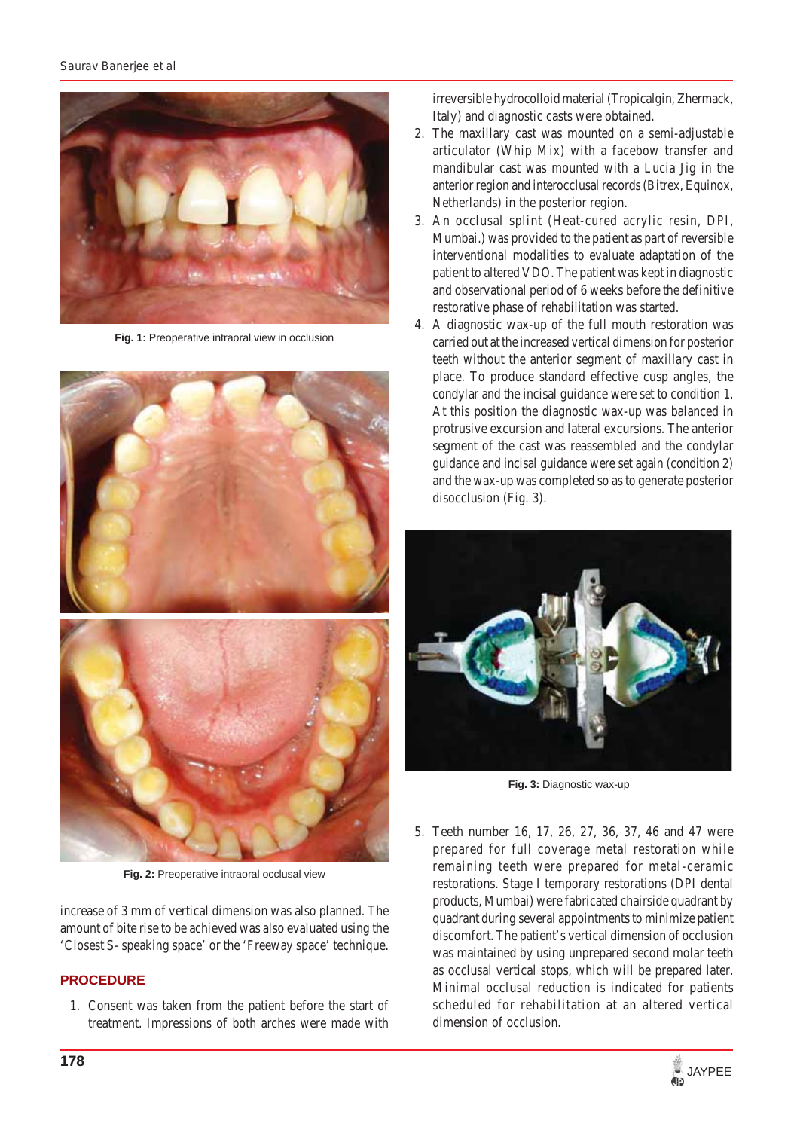

**Fig. 1:** Preoperative intraoral view in occlusion



**Fig. 2:** Preoperative intraoral occlusal view

increase of 3 mm of vertical dimension was also planned. The amount of bite rise to be achieved was also evaluated using the 'Closest S- speaking space' or the 'Freeway space' technique.

# **PROCEDURE**

1. Consent was taken from the patient before the start of treatment. Impressions of both arches were made with irreversible hydrocolloid material (Tropicalgin, Zhermack, Italy) and diagnostic casts were obtained.

- 2. The maxillary cast was mounted on a semi-adjustable articulator (Whip Mix) with a facebow transfer and mandibular cast was mounted with a Lucia Jig in the anterior region and interocclusal records (Bitrex, Equinox, Netherlands) in the posterior region.
- 3. An occlusal splint (Heat-cured acrylic resin, DPI, Mumbai.) was provided to the patient as part of reversible interventional modalities to evaluate adaptation of the patient to altered VDO. The patient was kept in diagnostic and observational period of 6 weeks before the definitive restorative phase of rehabilitation was started.
- 4. A diagnostic wax-up of the full mouth restoration was carried out at the increased vertical dimension for posterior teeth without the anterior segment of maxillary cast in place. To produce standard effective cusp angles, the condylar and the incisal guidance were set to condition 1. At this position the diagnostic wax-up was balanced in protrusive excursion and lateral excursions. The anterior segment of the cast was reassembled and the condylar guidance and incisal guidance were set again (condition 2) and the wax-up was completed so as to generate posterior disocclusion (Fig. 3).



**Fig. 3:** Diagnostic wax-up

5. Teeth number 16, 17, 26, 27, 36, 37, 46 and 47 were prepared for full coverage metal restoration while remaining teeth were prepared for metal-ceramic restorations. Stage I temporary restorations (DPI dental products, Mumbai) were fabricated chairside quadrant by quadrant during several appointments to minimize patient discomfort. The patient's vertical dimension of occlusion was maintained by using unprepared second molar teeth as occlusal vertical stops, which will be prepared later. Minimal occlusal reduction is indicated for patients scheduled for rehabilitation at an altered vertical dimension of occlusion.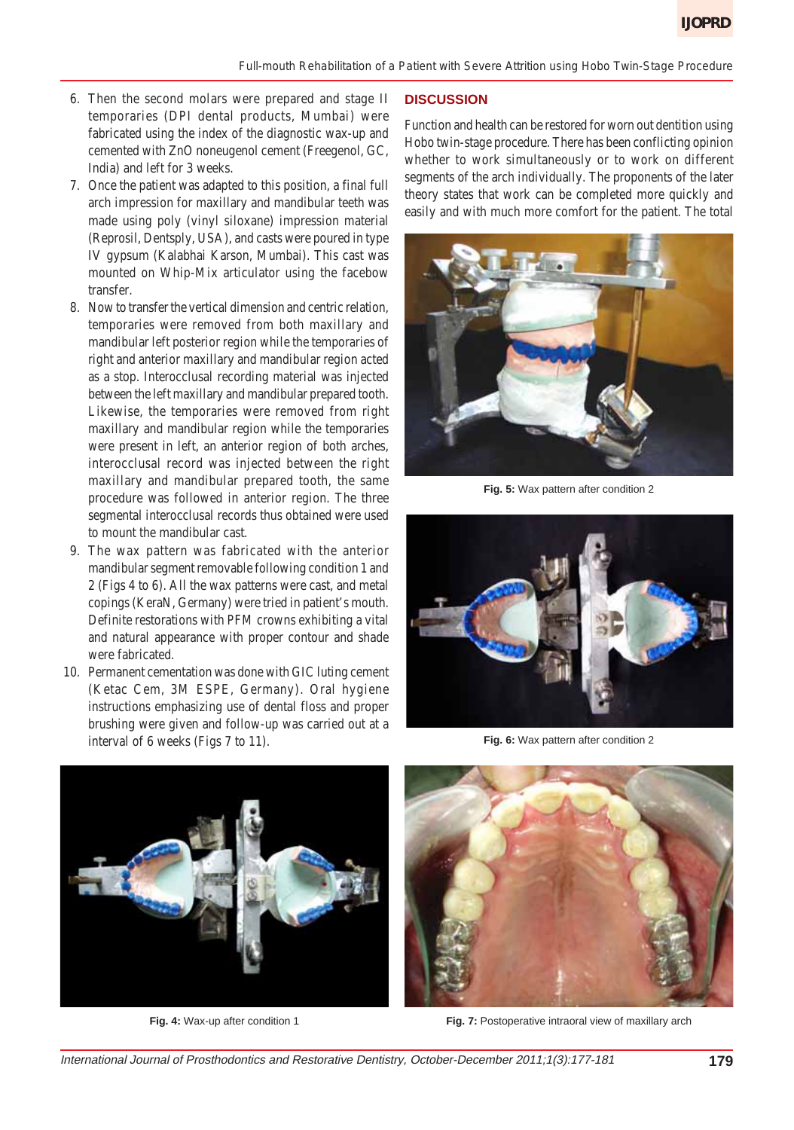- 6. Then the second molars were prepared and stage II temporaries (DPI dental products, Mumbai) were fabricated using the index of the diagnostic wax-up and cemented with ZnO noneugenol cement (Freegenol, GC, India) and left for 3 weeks.
- 7. Once the patient was adapted to this position, a final full arch impression for maxillary and mandibular teeth was made using poly (vinyl siloxane) impression material (Reprosil, Dentsply, USA), and casts were poured in type IV gypsum (Kalabhai Karson, Mumbai). This cast was mounted on Whip-Mix articulator using the facebow transfer.
- 8. Now to transfer the vertical dimension and centric relation, temporaries were removed from both maxillary and mandibular left posterior region while the temporaries of right and anterior maxillary and mandibular region acted as a stop. Interocclusal recording material was injected between the left maxillary and mandibular prepared tooth. Likewise, the temporaries were removed from right maxillary and mandibular region while the temporaries were present in left, an anterior region of both arches, interocclusal record was injected between the right maxillary and mandibular prepared tooth, the same procedure was followed in anterior region. The three segmental interocclusal records thus obtained were used to mount the mandibular cast.
- 9. The wax pattern was fabricated with the anterior mandibular segment removable following condition 1 and 2 (Figs 4 to 6). All the wax patterns were cast, and metal copings (KeraN, Germany) were tried in patient's mouth. Definite restorations with PFM crowns exhibiting a vital and natural appearance with proper contour and shade were fabricated.
- 10. Permanent cementation was done with GIC luting cement (Ketac Cem, 3M ESPE, Germany). Oral hygiene instructions emphasizing use of dental floss and proper brushing were given and follow-up was carried out at a interval of 6 weeks (Figs 7 to 11).

#### **DISCUSSION**

Function and health can be restored for worn out dentition using Hobo twin-stage procedure. There has been conflicting opinion whether to work simultaneously or to work on different segments of the arch individually. The proponents of the later theory states that work can be completed more quickly and easily and with much more comfort for the patient. The total



**Fig. 5:** Wax pattern after condition 2



**Fig. 6:** Wax pattern after condition 2



**Fig. 4:** Wax-up after condition 1



**Fig. 7:** Postoperative intraoral view of maxillary arch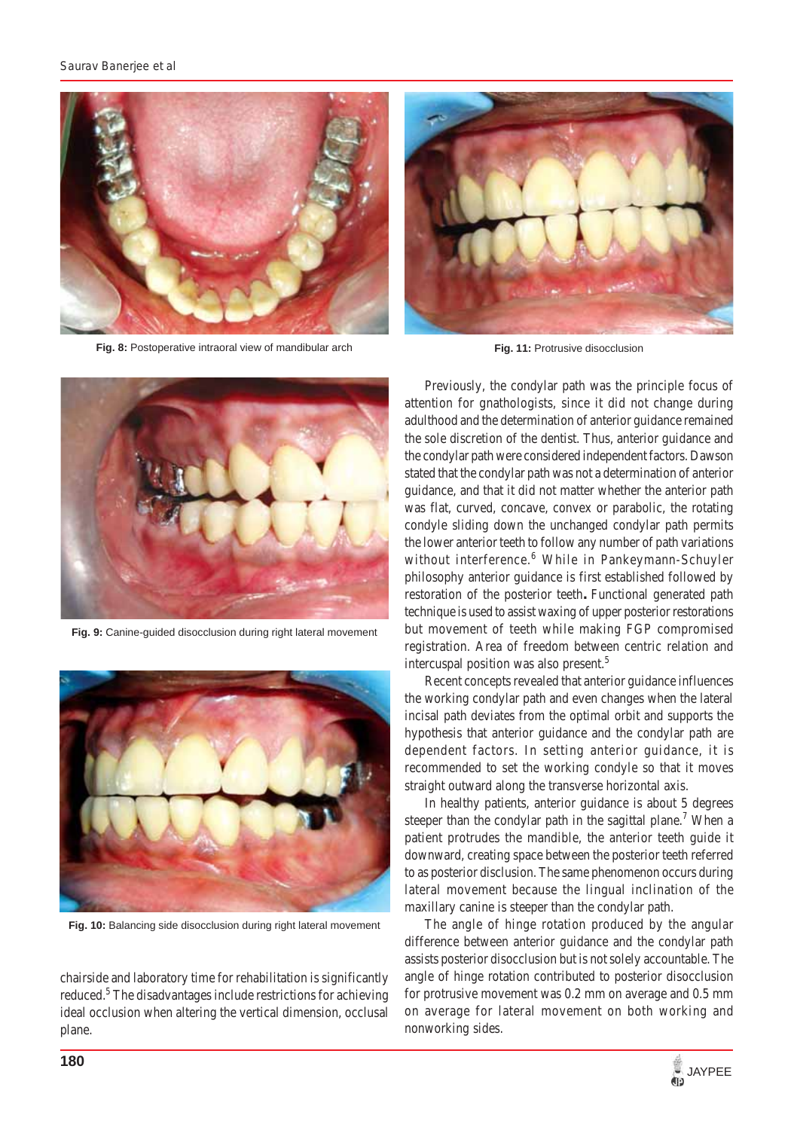

**Fig. 8:** Postoperative intraoral view of mandibular arch



**Fig. 11: Protrusive disocclusion** 



**Fig. 9:** Canine-guided disocclusion during right lateral movement



**Fig. 10:** Balancing side disocclusion during right lateral movement

chairside and laboratory time for rehabilitation is significantly reduced.<sup>5</sup> The disadvantages include restrictions for achieving ideal occlusion when altering the vertical dimension, occlusal plane.

Previously, the condylar path was the principle focus of attention for gnathologists, since it did not change during adulthood and the determination of anterior guidance remained the sole discretion of the dentist. Thus, anterior guidance and the condylar path were considered independent factors. Dawson stated that the condylar path was not a determination of anterior guidance, and that it did not matter whether the anterior path was flat, curved, concave, convex or parabolic, the rotating condyle sliding down the unchanged condylar path permits the lower anterior teeth to follow any number of path variations without interference.<sup>6</sup> While in Pankeymann-Schuyler philosophy anterior guidance is first established followed by restoration of the posterior teeth**.** Functional generated path technique is used to assist waxing of upper posterior restorations but movement of teeth while making FGP compromised registration. Area of freedom between centric relation and intercuspal position was also present.<sup>5</sup>

Recent concepts revealed that anterior guidance influences the working condylar path and even changes when the lateral incisal path deviates from the optimal orbit and supports the hypothesis that anterior guidance and the condylar path are dependent factors. In setting anterior guidance, it is recommended to set the working condyle so that it moves straight outward along the transverse horizontal axis.

In healthy patients, anterior guidance is about 5 degrees steeper than the condylar path in the sagittal plane.<sup>7</sup> When a patient protrudes the mandible, the anterior teeth guide it downward, creating space between the posterior teeth referred to as posterior disclusion. The same phenomenon occurs during lateral movement because the lingual inclination of the maxillary canine is steeper than the condylar path.

The angle of hinge rotation produced by the angular difference between anterior guidance and the condylar path assists posterior disocclusion but is not solely accountable. The angle of hinge rotation contributed to posterior disocclusion for protrusive movement was 0.2 mm on average and 0.5 mm on average for lateral movement on both working and nonworking sides.